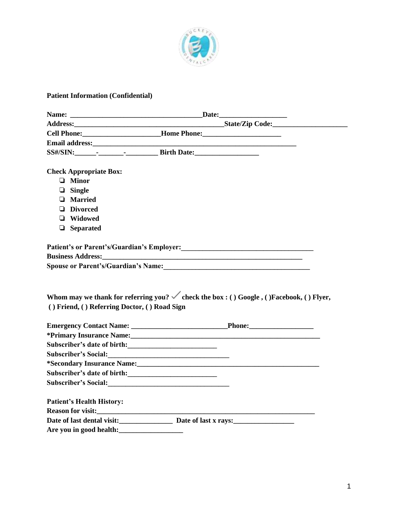

## **Patient Information (Confidential)**

|                                              | Cell Phone: _________________________Home Phone: ________________________________                                                                                                                                                  |  |
|----------------------------------------------|------------------------------------------------------------------------------------------------------------------------------------------------------------------------------------------------------------------------------------|--|
|                                              |                                                                                                                                                                                                                                    |  |
|                                              | SS#/SIN: - - - - - - Birth Date:                                                                                                                                                                                                   |  |
|                                              |                                                                                                                                                                                                                                    |  |
| <b>Check Appropriate Box:</b>                |                                                                                                                                                                                                                                    |  |
| $\Box$ Minor                                 |                                                                                                                                                                                                                                    |  |
| $\Box$ Single                                |                                                                                                                                                                                                                                    |  |
| <b>Q</b> Married                             |                                                                                                                                                                                                                                    |  |
| <b>Divorced</b>                              |                                                                                                                                                                                                                                    |  |
| □ Widowed                                    |                                                                                                                                                                                                                                    |  |
| $\Box$ Separated                             |                                                                                                                                                                                                                                    |  |
|                                              |                                                                                                                                                                                                                                    |  |
|                                              | Patient's or Parent's/Guardian's Employer:<br>1988 - The Matter School of Parent's Cuardian's Employer:<br>2008 - The Matter School of Parent's Council of the Matter School of the Matter School of the Matter School of the Matt |  |
|                                              | Business Address: New York Street, New York Street, New York Street, New York Street, New York Street, New York Street, New York Street, New York Street, New York Street, New York Street, New York Street, New York Street,      |  |
|                                              |                                                                                                                                                                                                                                    |  |
|                                              |                                                                                                                                                                                                                                    |  |
| () Friend, () Referring Doctor, () Road Sign | Whom may we thank for referring you? $\checkmark$ check the box : () Google, ()Facebook, () Flyer,                                                                                                                                 |  |
|                                              |                                                                                                                                                                                                                                    |  |
|                                              |                                                                                                                                                                                                                                    |  |
|                                              | *Primary Insurance Name: 1988. The Contract of the Second Lines of the Second Lines of the Second Lines of the Second Lines of the Second Lines of the Second Lines of the Second Lines of the Second Lines of the Second Line     |  |
|                                              |                                                                                                                                                                                                                                    |  |
| Subscriber's Social:                         |                                                                                                                                                                                                                                    |  |
|                                              |                                                                                                                                                                                                                                    |  |
|                                              |                                                                                                                                                                                                                                    |  |
|                                              |                                                                                                                                                                                                                                    |  |
| <b>Patient's Health History:</b>             |                                                                                                                                                                                                                                    |  |
|                                              |                                                                                                                                                                                                                                    |  |
|                                              | Date of last dental visit:<br><u>Date of last x rays:</u>                                                                                                                                                                          |  |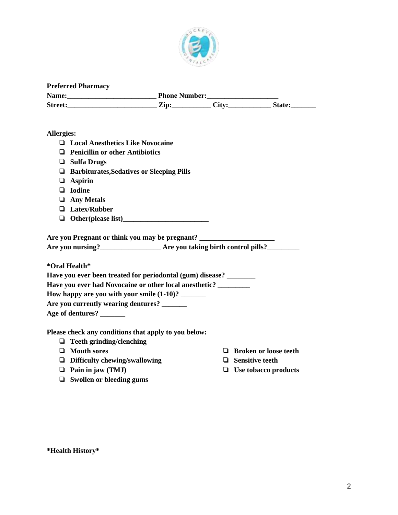

| <b>Preferred Pharmacy</b> |                      |       |               |  |  |  |
|---------------------------|----------------------|-------|---------------|--|--|--|
| Name:                     | <b>Phone Number:</b> |       |               |  |  |  |
| <b>Street:</b>            | Zip:                 | Citv: | <b>State:</b> |  |  |  |

## **Allergies:**

- ❏ **Local Anesthetics Like Novocaine**
- ❏ **Penicillin or other Antibiotics**
- ❏ **Sulfa Drugs**
- ❏ **Barbiturates,Sedatives or Sleeping Pills**
- ❏ **Aspirin**
- ❏ **Iodine**
- ❏ **Any Metals**
- ❏ **Latex/Rubber**
- ❏ **Other(please list)\_\_\_\_\_\_\_\_\_\_\_\_\_\_\_\_\_\_\_\_\_\_\_\_**

**Are you Pregnant or think you may be pregnant? \_\_\_\_\_\_\_\_\_\_\_\_\_\_\_\_\_\_\_\_\_**

**Are you nursing?\_\_\_\_\_\_\_\_\_\_\_\_\_\_\_\_\_ Are you taking birth control pills?\_\_\_\_\_\_\_\_\_**

**\*Oral Health\***

| Have you ever been treated for periodontal (gum) disease? |
|-----------------------------------------------------------|
| Have you ever had Novocaine or other local anesthetic?    |
| How happy are you with your smile $(1-10)$ ?              |

**Are you currently wearing dentures? \_\_\_\_\_\_\_**

**Age of dentures? \_\_\_\_\_\_\_**

**Please check any conditions that apply to you below:**

- ❏ **Teeth grinding/clenching**
- ❏ **Mouth sores**
- ❏ **Difficulty chewing/swallowing**
- ❏ **Pain in jaw (TMJ)**
- ❏ **Swollen or bleeding gums**
- ❏ **Broken or loose teeth**
- ❏ **Sensitive teeth**
- ❏ **Use tobacco products**

**\*Health History\***